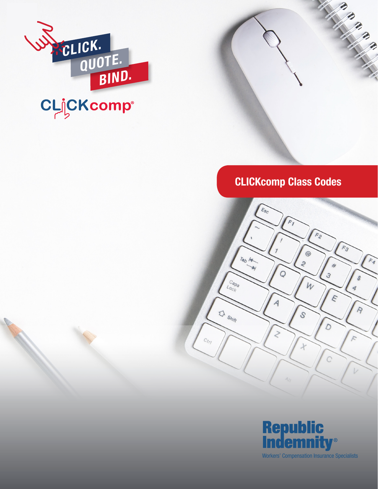

## CLICKcomp Class Codes

Million R. P.



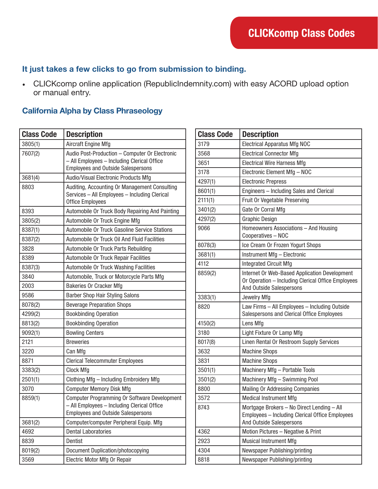## It just takes a few clicks to go from submission to binding.

• CLICKcomp online application (RepublicIndemnity.com) with easy ACORD upload option or manual entry.

## California Alpha by Class Phraseology

| <b>Class Code</b> | <b>Description</b>                                                                                                                         |
|-------------------|--------------------------------------------------------------------------------------------------------------------------------------------|
| 3805(1)           | Aircraft Engine Mfg                                                                                                                        |
| 7607(2)           | Audio Post-Production - Computer Or Electronic<br>- All Employees - Including Clerical Office<br><b>Employees and Outside Salespersons</b> |
| 3681(4)           | Audio/Visual Electronic Products Mfg                                                                                                       |
| 8803              | Auditing, Accounting Or Management Consulting<br>Services - All Employees - Including Clerical<br><b>Office Employees</b>                  |
| 8393              | Automobile Or Truck Body Repairing And Painting                                                                                            |
| 3805(2)           | Automobile Or Truck Engine Mfg                                                                                                             |
| 8387(1)           | Automobile Or Truck Gasoline Service Stations                                                                                              |
| 8387(2)           | Automobile Or Truck Oil And Fluid Facilities                                                                                               |
| 3828              | Automobile Or Truck Parts Rebuilding                                                                                                       |
| 8389              | Automobile Or Truck Repair Facilities                                                                                                      |
| 8387(3)           | Automobile Or Truck Washing Facilities                                                                                                     |
| 3840              | Automobile, Truck or Motorcycle Parts Mfg                                                                                                  |
| 2003              | <b>Bakeries Or Cracker Mfg</b>                                                                                                             |
| 9586              | <b>Barber Shop Hair Styling Salons</b>                                                                                                     |
| 8078(2)           | <b>Beverage Preparation Shops</b>                                                                                                          |
| 4299(2)           | <b>Bookbinding Operation</b>                                                                                                               |
| 8813(2)           | <b>Bookbinding Operation</b>                                                                                                               |
| 9092(1)           | <b>Bowling Centers</b>                                                                                                                     |
| 2121              | <b>Breweries</b>                                                                                                                           |
| 3220              | Can Mfg                                                                                                                                    |
| 8871              | <b>Clerical Telecommuter Employees</b>                                                                                                     |
| 3383(2)           | <b>Clock Mfg</b>                                                                                                                           |
| 2501(1)           | Clothing Mfg - Including Embroidery Mfg                                                                                                    |
| 3070              | <b>Computer Memory Disk Mfg</b>                                                                                                            |
| 8859(1)           | Computer Programming Or Software Development<br>- All Emplovees - Including Clerical Office<br><b>Employees and Outside Salespersons</b>   |
| 3681(2)           | Computer/computer Peripheral Equip. Mfg                                                                                                    |
| 4692              | <b>Dental Laboratories</b>                                                                                                                 |
| 8839              | Dentist                                                                                                                                    |
| 8019(2)           | <b>Document Duplication/photocopying</b>                                                                                                   |
| 3569              | Electric Motor Mfg Or Repair                                                                                                               |

| <b>Class Code</b> | <b>Description</b>                                                                                                              |
|-------------------|---------------------------------------------------------------------------------------------------------------------------------|
| 3179              | <b>Electrical Apparatus Mfg NOC</b>                                                                                             |
| 3568              | <b>Electrical Connector Mfg</b>                                                                                                 |
| 3651              | <b>Electrical Wire Harness Mfg</b>                                                                                              |
| 3178              | Electronic Element Mfg - NOC                                                                                                    |
| 4297(1)           | <b>Electronic Prepress</b>                                                                                                      |
| 8601(1)           | Engineers - Including Sales and Clerical                                                                                        |
| 2111(1)           | Fruit Or Vegetable Preserving                                                                                                   |
| 3401(2)           | Gate Or Corral Mfg                                                                                                              |
| 4297(2)           | <b>Graphic Design</b>                                                                                                           |
| 9066              | Homeowners Associations - And Housing<br>Cooperatives - NOC                                                                     |
| 8078(3)           | Ice Cream Or Frozen Yogurt Shops                                                                                                |
| 3681(1)           | Instrument Mfg - Electronic                                                                                                     |
| 4112              | <b>Integrated Circuit Mfg</b>                                                                                                   |
| 8859(2)           | Internet Or Web-Based Application Development<br>Or Operation - Including Clerical Office Employees<br>And Outside Salespersons |
| 3383(1)           | Jewelry Mfg                                                                                                                     |
| 8820              | Law Firms - All Employees - Including Outside<br>Salespersons and Clerical Office Employees                                     |
| 4150(2)           | Lens Mfg                                                                                                                        |
| 3180              | Light Fixture Or Lamp Mfg                                                                                                       |
| 8017(8)           | Linen Rental Or Restroom Supply Services                                                                                        |
| 3632              | <b>Machine Shops</b>                                                                                                            |
| 3831              | <b>Machine Shops</b>                                                                                                            |
| 3501(1)           | Machinery Mfg - Portable Tools                                                                                                  |
| 3501(2)           | Machinery Mfg - Swimming Pool                                                                                                   |
| 8800              | <b>Mailing Or Addressing Companies</b>                                                                                          |
| 3572              | <b>Medical Instrument Mfg</b>                                                                                                   |
| 8743              | Mortgage Brokers - No Direct Lending - All<br>Employees - Including Clerical Office Employees<br>And Outside Salespersons       |
| 4362              | Motion Pictures - Negative & Print                                                                                              |
| 2923              | <b>Musical Instrument Mfg</b>                                                                                                   |
| 4304              | Newspaper Publishing/printing                                                                                                   |
| 8818              | Newspaper Publishing/printing                                                                                                   |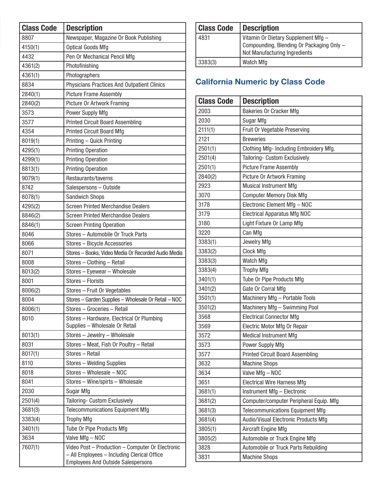| <b>Class Code</b> | <b>Description</b>                                                                       |
|-------------------|------------------------------------------------------------------------------------------|
| 8807              | Newspaper, Magazine Or Book Publishing                                                   |
| 4150(1)           | <b>Optical Goods Mfg</b>                                                                 |
| 4432              | Pen Or Mechanical Pencil Mfg                                                             |
| 4361(2)           | Photofinishing                                                                           |
| 4361(1)           | Photographers                                                                            |
| 8834              | Physicians Practices And Outpatient Clinics                                              |
| 2840(1)           | <b>Picture Frame Assembly</b>                                                            |
| 2840(2)           | <b>Picture Or Artwork Framing</b>                                                        |
| 3573              | Power Supply Mfg                                                                         |
| 3577              | <b>Printed Circuit Board Assembling</b>                                                  |
| 4354              | <b>Printed Circuit Board Mfg</b>                                                         |
| 8019(1)           | Printing - Quick Printing                                                                |
| 4295(1)           | <b>Printing Operation</b>                                                                |
| 4299(1)           | <b>Printing Operation</b>                                                                |
| 8813(1)           | <b>Printing Operation</b>                                                                |
| 9079(1)           | Restaurants/taverns                                                                      |
| 8742              | Salespersons - Outside                                                                   |
| 8078(1)           | <b>Sandwich Shops</b>                                                                    |
| 4295(2)           | <b>Screen Printed Merchandise Dealers</b>                                                |
| 8846(2)           | <b>Screen Printed Merchandise Dealers</b>                                                |
| 8846(1)           | <b>Screen Printing Operation</b>                                                         |
| 8046              | Stores - Automobile Or Truck Parts                                                       |
| 8066              | Stores - Bicycle Accessories                                                             |
| 8071              | Stores - Books, Video Media Or Recorded Audio Media                                      |
| 8008              | Stores - Clothing - Retail                                                               |
| 8013(2)           | Stores - Eyewear - Wholesale                                                             |
| 8001              | Stores - Florists                                                                        |
| 8006(2)           | Stores - Fruit Or Vegetables                                                             |
| 8004              | Stores - Garden Supplies - Wholesale Or Retail - NOC                                     |
| 8006(1)           | Stores - Groceries - Retail                                                              |
| 8010              | Stores - Hardware, Electrical Or Plumbing<br>Supplies - Wholesale Or Retail              |
| 8013(1)           | Stores - Jewelry - Wholesale                                                             |
| 8031              | Stores - Meat, Fish Or Poultry - Retail                                                  |
| 8017(1)           | Stores - Retail                                                                          |
| 8110              | Stores - Welding Supplies                                                                |
| 8018              | Stores - Wholesale - NOC                                                                 |
| 8041              | Stores - Wine/spirts - Wholesale                                                         |
| 2030              | Sugar Mfg                                                                                |
| 2501(4)           | Tailoring- Custom Exclusively                                                            |
| 3681(3)           | <b>Telecommunications Equipment Mfg</b>                                                  |
| 3383(4)           | <b>Trophy Mfg</b>                                                                        |
| 3401(1)           | Tube Or Pipe Products Mfg                                                                |
| 3634              | Valve Mfg - NOC                                                                          |
| 7607(1)           | Video Post - Production - Computer Or Electronic                                         |
|                   | - All Employees - Including Clerical Office<br><b>Employees And Outside Salespersons</b> |

| <b>Class Code</b> | <b>Description</b>                                                                                                |
|-------------------|-------------------------------------------------------------------------------------------------------------------|
| 4831              | Vitamin Or Dietary Supplement Mfg -<br>Compounding, Blending Or Packaging Only -<br>Not Manufacturing Ingredients |
| 3383(3)           | Watch Mfg                                                                                                         |

## California Numeric by Class Code

| <b>Class Code</b> | <b>Description</b>                      |
|-------------------|-----------------------------------------|
| 2003              | Bakeries Or Cracker Mfg                 |
| 2030              | Sugar Mfg                               |
| 2111(1)           | Fruit Or Vegetable Preserving           |
| 2121              | <b>Breweries</b>                        |
| 2501(1)           | Clothing Mfg- Including Embroidery Mfg. |
| 2501(4)           | Tailoring- Custom Exclusively           |
| 2501(1)           | <b>Picture Frame Assembly</b>           |
| 2840(2)           | <b>Picture Or Artwork Framing</b>       |
| 2923              | <b>Musical Instrument Mfg</b>           |
| 3070              | <b>Computer Memory Disk Mfg</b>         |
| 3178              | Electronic Element Mfg - NOC            |
| 3179              | <b>Electrical Apparatus Mfg NOC</b>     |
| 3180              | Light Fixture Or Lamp Mfg               |
| 3220              | Can Mfg                                 |
| 3383(1)           | Jewelry Mfg                             |
| 3383(2)           | Clock Mfg                               |
| 3383(3)           | Watch Mfg                               |
| 3383(4)           | <b>Trophy Mfg</b>                       |
| 3401(1)           | Tube Or Pipe Products Mfg               |
| 3401(2)           | Gate Or Corral Mfg                      |
| 3501(1)           | Machinery Mfg - Portable Tools          |
| 3501(2)           | Machinery Mfg - Swimming Pool           |
| 3568              | <b>Electrical Connector Mfg</b>         |
| 3569              | Electric Motor Mfg Or Repair            |
| 3572              | <b>Medical Instrument Mfg</b>           |
| 3573              | Power Supply Mfg                        |
| 3577              | <b>Printed Circuit Board Assembling</b> |
| 3632              | <b>Machine Shops</b>                    |
| 3634              | Valve Mfg - NOC                         |
| 3651              | <b>Electrical Wire Harness Mfg</b>      |
| 3681(1)           | Instrument Mfg - Electronic             |
| 3681(2)           | Computer/computer Peripheral Equip. Mfg |
| 3681(3)           | <b>Telecommunications Equipment Mfg</b> |
| 3681(4)           | Audio/Visual Electronic Products Mfg    |
| 3805(1)           | Aircraft Engine Mfg                     |
| 3805(2)           | Automobile or Truck Engine Mfg          |
| 3828              | Automobile or Truck Parts Rebuilding    |
| 3831              | <b>Machine Shops</b>                    |